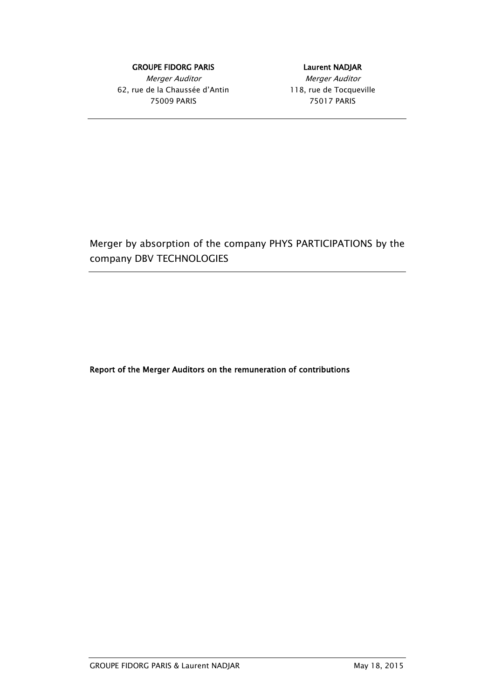#### GROUPE FIDORG PARIS **EXECUTE:** Laurent NADJAR

Merger Auditor Nerger Auditor 62, rue de la Chaussée d'Antin 118, rue de Tocqueville 75009 PARIS 75017 PARIS

Merger by absorption of the company PHYS PARTICIPATIONS by the company DBV TECHNOLOGIES

Report of the Merger Auditors on the remuneration of contributions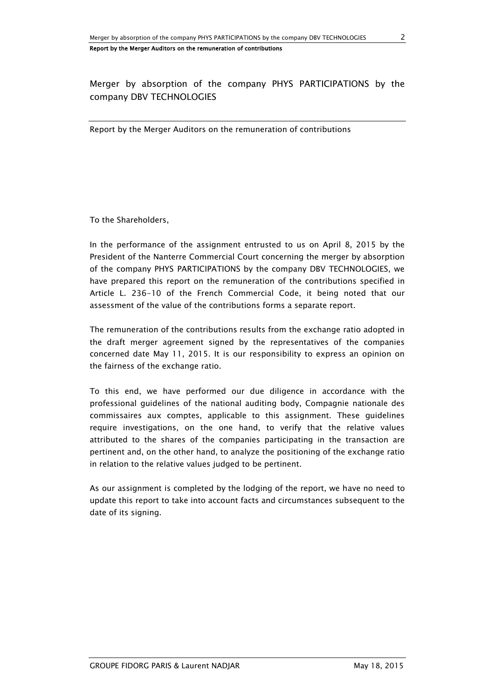Merger by absorption of the company PHYS PARTICIPATIONS by the company DBV TECHNOLOGIES

Report by the Merger Auditors on the remuneration of contributions

To the Shareholders,

In the performance of the assignment entrusted to us on April 8, 2015 by the President of the Nanterre Commercial Court concerning the merger by absorption of the company PHYS PARTICIPATIONS by the company DBV TECHNOLOGIES, we have prepared this report on the remuneration of the contributions specified in Article L. 236-10 of the French Commercial Code, it being noted that our assessment of the value of the contributions forms a separate report.

The remuneration of the contributions results from the exchange ratio adopted in the draft merger agreement signed by the representatives of the companies concerned date May 11, 2015. It is our responsibility to express an opinion on the fairness of the exchange ratio.

To this end, we have performed our due diligence in accordance with the professional guidelines of the national auditing body, Compagnie nationale des commissaires aux comptes, applicable to this assignment. These guidelines require investigations, on the one hand, to verify that the relative values attributed to the shares of the companies participating in the transaction are pertinent and, on the other hand, to analyze the positioning of the exchange ratio in relation to the relative values judged to be pertinent.

As our assignment is completed by the lodging of the report, we have no need to update this report to take into account facts and circumstances subsequent to the date of its signing.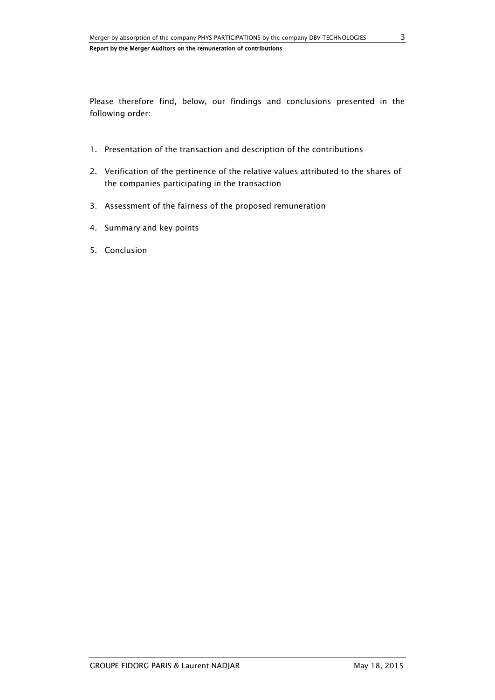Please therefore find, below, our findings and conclusions presented in the following order:

- 1. Presentation of the transaction and description of the contributions
- 2. Verification of the pertinence of the relative values attributed to the shares of the companies participating in the transaction
- 3. Assessment of the fairness of the proposed remuneration
- 4. Summary and key points
- 5. Conclusion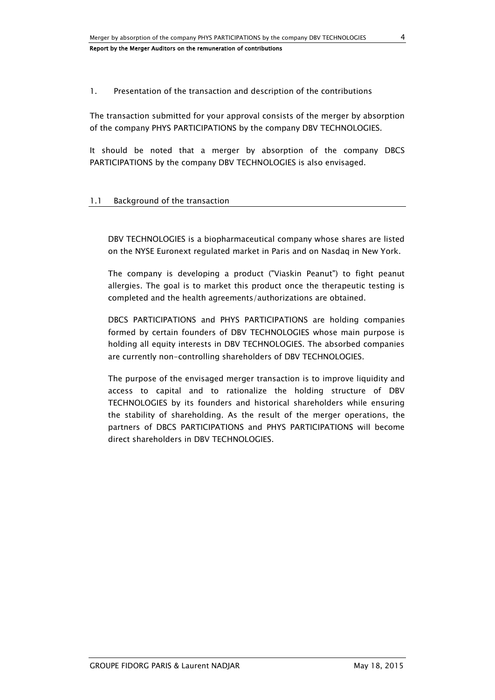## 1. Presentation of the transaction and description of the contributions

The transaction submitted for your approval consists of the merger by absorption of the company PHYS PARTICIPATIONS by the company DBV TECHNOLOGIES.

It should be noted that a merger by absorption of the company DBCS PARTICIPATIONS by the company DBV TECHNOLOGIES is also envisaged.

## 1.1 Background of the transaction

DBV TECHNOLOGIES is a biopharmaceutical company whose shares are listed on the NYSE Euronext regulated market in Paris and on Nasdaq in New York.

The company is developing a product ("Viaskin Peanut") to fight peanut allergies. The goal is to market this product once the therapeutic testing is completed and the health agreements/authorizations are obtained.

DBCS PARTICIPATIONS and PHYS PARTICIPATIONS are holding companies formed by certain founders of DBV TECHNOLOGIES whose main purpose is holding all equity interests in DBV TECHNOLOGIES. The absorbed companies are currently non-controlling shareholders of DBV TECHNOLOGIES.

The purpose of the envisaged merger transaction is to improve liquidity and access to capital and to rationalize the holding structure of DBV TECHNOLOGIES by its founders and historical shareholders while ensuring the stability of shareholding. As the result of the merger operations, the partners of DBCS PARTICIPATIONS and PHYS PARTICIPATIONS will become direct shareholders in DBV TECHNOLOGIES.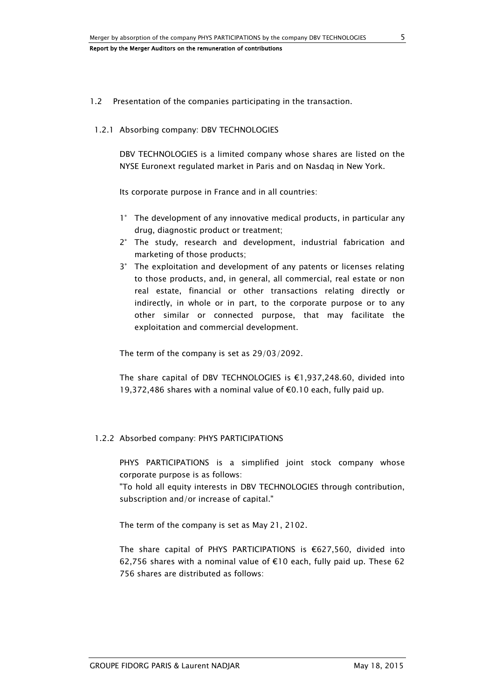#### 1.2 Presentation of the companies participating in the transaction.

## 1.2.1 Absorbing company: DBV TECHNOLOGIES

DBV TECHNOLOGIES is a limited company whose shares are listed on the NYSE Euronext regulated market in Paris and on Nasdaq in New York.

Its corporate purpose in France and in all countries:

- 1° The development of any innovative medical products, in particular any drug, diagnostic product or treatment;
- 2° The study, research and development, industrial fabrication and marketing of those products;
- 3° The exploitation and development of any patents or licenses relating to those products, and, in general, all commercial, real estate or non real estate, financial or other transactions relating directly or indirectly, in whole or in part, to the corporate purpose or to any other similar or connected purpose, that may facilitate the exploitation and commercial development.

The term of the company is set as 29/03/2092.

The share capital of DBV TECHNOLOGIES is €1,937,248.60, divided into 19,372,486 shares with a nominal value of €0.10 each, fully paid up.

#### 1.2.2 Absorbed company: PHYS PARTICIPATIONS

PHYS PARTICIPATIONS is a simplified joint stock company whose corporate purpose is as follows:

"To hold all equity interests in DBV TECHNOLOGIES through contribution, subscription and/or increase of capital."

The term of the company is set as May 21, 2102.

The share capital of PHYS PARTICIPATIONS is €627,560, divided into 62,756 shares with a nominal value of €10 each, fully paid up. These 62 756 shares are distributed as follows: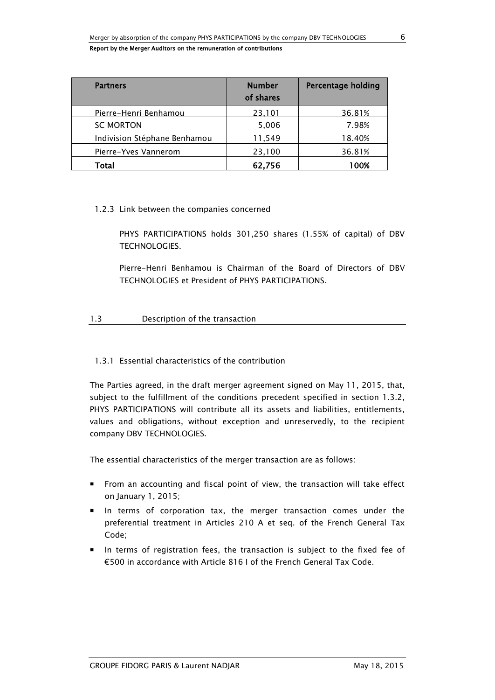| <b>Partners</b>              | <b>Number</b><br>of shares | <b>Percentage holding</b> |
|------------------------------|----------------------------|---------------------------|
| Pierre-Henri Benhamou        | 23,101                     | 36.81%                    |
| <b>SC MORTON</b>             | 5,006                      | 7.98%                     |
| Indivision Stéphane Benhamou | 11,549                     | 18.40%                    |
| Pierre-Yves Vannerom         | 23,100                     | 36.81%                    |
| Total                        | 62,756                     | 100%                      |

## 1.2.3 Link between the companies concerned

PHYS PARTICIPATIONS holds 301,250 shares (1.55% of capital) of DBV TECHNOLOGIES.

Pierre-Henri Benhamou is Chairman of the Board of Directors of DBV TECHNOLOGIES et President of PHYS PARTICIPATIONS.

# 1.3 Description of the transaction

# 1.3.1 Essential characteristics of the contribution

The Parties agreed, in the draft merger agreement signed on May 11, 2015, that, subject to the fulfillment of the conditions precedent specified in section 1.3.2, PHYS PARTICIPATIONS will contribute all its assets and liabilities, entitlements, values and obligations, without exception and unreservedly, to the recipient company DBV TECHNOLOGIES.

The essential characteristics of the merger transaction are as follows:

- From an accounting and fiscal point of view, the transaction will take effect on January 1, 2015;
- In terms of corporation tax, the merger transaction comes under the preferential treatment in Articles 210 A et seq. of the French General Tax Code;
- In terms of registration fees, the transaction is subject to the fixed fee of €500 in accordance with Article 816 I of the French General Tax Code.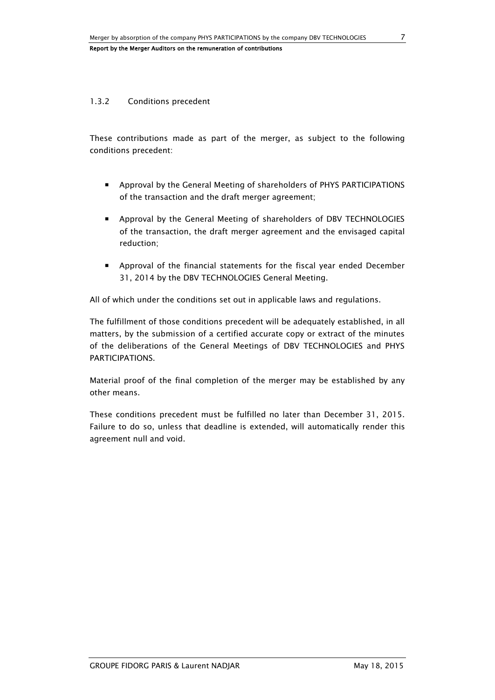## 1.3.2 Conditions precedent

These contributions made as part of the merger, as subject to the following conditions precedent:

- Approval by the General Meeting of shareholders of PHYS PARTICIPATIONS of the transaction and the draft merger agreement;
- Approval by the General Meeting of shareholders of DBV TECHNOLOGIES of the transaction, the draft merger agreement and the envisaged capital reduction;
- Approval of the financial statements for the fiscal year ended December 31, 2014 by the DBV TECHNOLOGIES General Meeting.

All of which under the conditions set out in applicable laws and regulations.

The fulfillment of those conditions precedent will be adequately established, in all matters, by the submission of a certified accurate copy or extract of the minutes of the deliberations of the General Meetings of DBV TECHNOLOGIES and PHYS PARTICIPATIONS.

Material proof of the final completion of the merger may be established by any other means.

These conditions precedent must be fulfilled no later than December 31, 2015. Failure to do so, unless that deadline is extended, will automatically render this agreement null and void.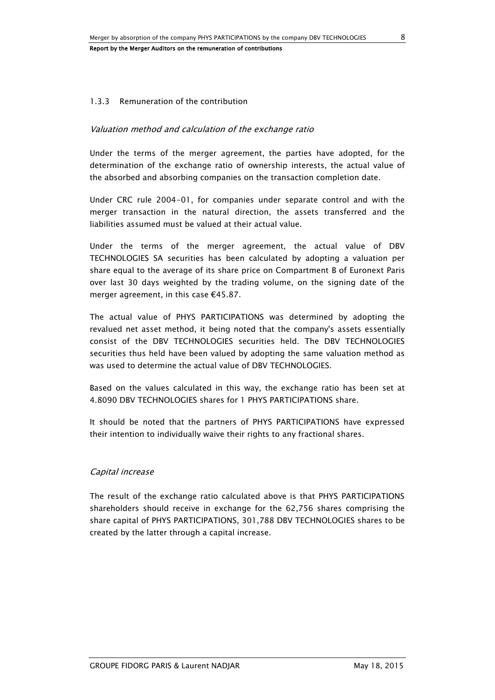## 1.3.3 Remuneration of the contribution

## Valuation method and calculation of the exchange ratio

Under the terms of the merger agreement, the parties have adopted, for the determination of the exchange ratio of ownership interests, the actual value of the absorbed and absorbing companies on the transaction completion date.

Under CRC rule 2004-01, for companies under separate control and with the merger transaction in the natural direction, the assets transferred and the liabilities assumed must be valued at their actual value.

Under the terms of the merger agreement, the actual value of DBV TECHNOLOGIES SA securities has been calculated by adopting a valuation per share equal to the average of its share price on Compartment B of Euronext Paris over last 30 days weighted by the trading volume, on the signing date of the merger agreement, in this case €45.87.

The actual value of PHYS PARTICIPATIONS was determined by adopting the revalued net asset method, it being noted that the company's assets essentially consist of the DBV TECHNOLOGIES securities held. The DBV TECHNOLOGIES securities thus held have been valued by adopting the same valuation method as was used to determine the actual value of DBV TECHNOLOGIES.

Based on the values calculated in this way, the exchange ratio has been set at 4.8090 DBV TECHNOLOGIES shares for 1 PHYS PARTICIPATIONS share.

It should be noted that the partners of PHYS PARTICIPATIONS have expressed their intention to individually waive their rights to any fractional shares.

#### Capital increase

The result of the exchange ratio calculated above is that PHYS PARTICIPATIONS shareholders should receive in exchange for the 62,756 shares comprising the share capital of PHYS PARTICIPATIONS, 301,788 DBV TECHNOLOGIES shares to be created by the latter through a capital increase.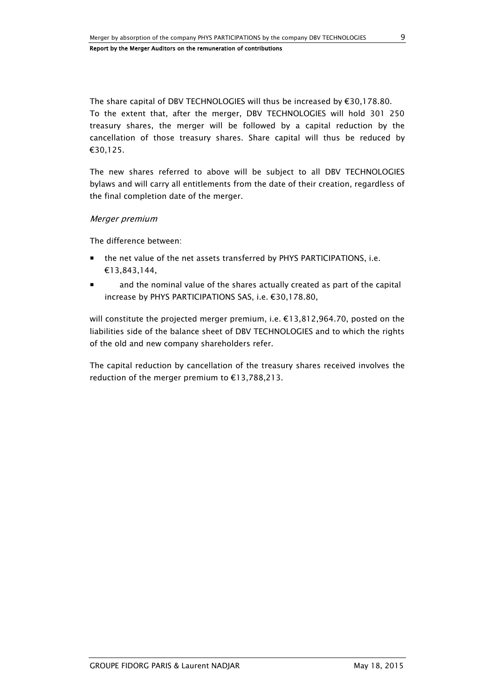The share capital of DBV TECHNOLOGIES will thus be increased by €30,178.80. To the extent that, after the merger, DBV TECHNOLOGIES will hold 301 250 treasury shares, the merger will be followed by a capital reduction by the cancellation of those treasury shares. Share capital will thus be reduced by €30,125.

The new shares referred to above will be subject to all DBV TECHNOLOGIES bylaws and will carry all entitlements from the date of their creation, regardless of the final completion date of the merger.

#### Merger premium

The difference between:

- the net value of the net assets transferred by PHYS PARTICIPATIONS, i.e. €13,843,144,
- and the nominal value of the shares actually created as part of the capital increase by PHYS PARTICIPATIONS SAS, i.e. €30,178.80,

will constitute the projected merger premium, i.e.  $\epsilon$ 13,812,964.70, posted on the liabilities side of the balance sheet of DBV TECHNOLOGIES and to which the rights of the old and new company shareholders refer.

The capital reduction by cancellation of the treasury shares received involves the reduction of the merger premium to €13,788,213.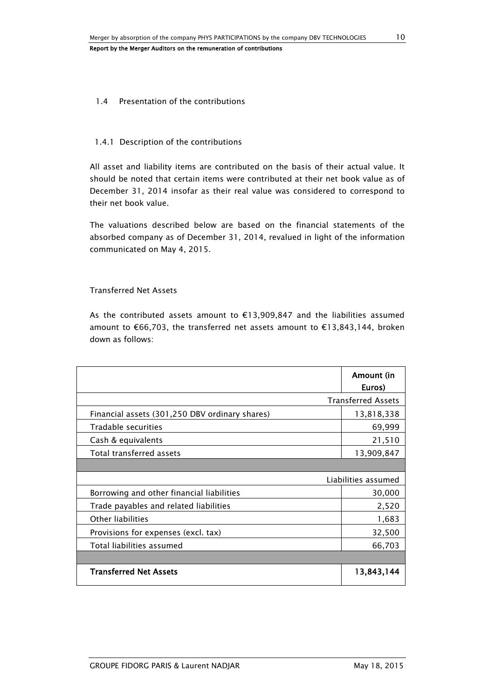#### 1.4 Presentation of the contributions

#### 1.4.1 Description of the contributions

All asset and liability items are contributed on the basis of their actual value. It should be noted that certain items were contributed at their net book value as of December 31, 2014 insofar as their real value was considered to correspond to their net book value.

The valuations described below are based on the financial statements of the absorbed company as of December 31, 2014, revalued in light of the information communicated on May 4, 2015.

#### Transferred Net Assets

As the contributed assets amount to €13,909,847 and the liabilities assumed amount to €66,703, the transferred net assets amount to €13,843,144, broken down as follows:

|                                                | Amount (in<br>Euros)      |
|------------------------------------------------|---------------------------|
|                                                | <b>Transferred Assets</b> |
| Financial assets (301,250 DBV ordinary shares) | 13,818,338                |
| Tradable securities                            | 69,999                    |
| Cash & equivalents                             | 21,510                    |
| Total transferred assets                       | 13,909,847                |
|                                                |                           |
|                                                | Liabilities assumed       |
| Borrowing and other financial liabilities      | 30,000                    |
| Trade payables and related liabilities         | 2,520                     |
| Other liabilities                              | 1,683                     |
| Provisions for expenses (excl. tax)            | 32,500                    |
| Total liabilities assumed                      | 66,703                    |
|                                                |                           |
| <b>Transferred Net Assets</b>                  | 13,843,144                |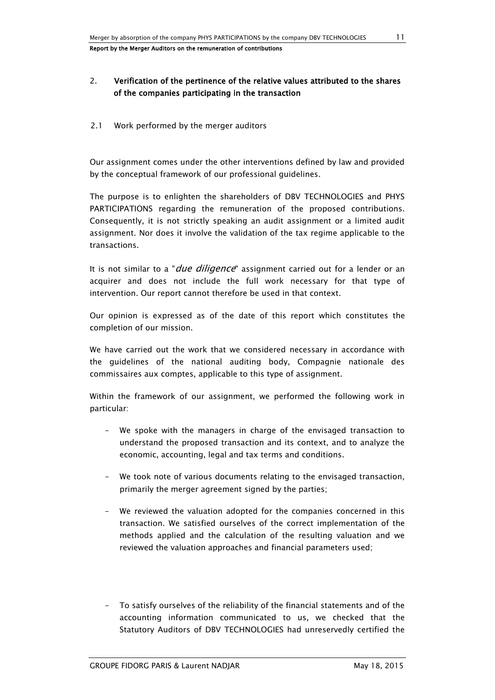# 2. Verification of the pertinence of the relative values attributed to the shares of the companies participating in the transaction

2.1 Work performed by the merger auditors

Our assignment comes under the other interventions defined by law and provided by the conceptual framework of our professional guidelines.

The purpose is to enlighten the shareholders of DBV TECHNOLOGIES and PHYS PARTICIPATIONS regarding the remuneration of the proposed contributions. Consequently, it is not strictly speaking an audit assignment or a limited audit assignment. Nor does it involve the validation of the tax regime applicable to the transactions.

It is not similar to a "*due diligence*" assignment carried out for a lender or an acquirer and does not include the full work necessary for that type of intervention. Our report cannot therefore be used in that context.

Our opinion is expressed as of the date of this report which constitutes the completion of our mission.

We have carried out the work that we considered necessary in accordance with the guidelines of the national auditing body, Compagnie nationale des commissaires aux comptes, applicable to this type of assignment.

Within the framework of our assignment, we performed the following work in particular:

- We spoke with the managers in charge of the envisaged transaction to understand the proposed transaction and its context, and to analyze the economic, accounting, legal and tax terms and conditions.
- We took note of various documents relating to the envisaged transaction, primarily the merger agreement signed by the parties;
- We reviewed the valuation adopted for the companies concerned in this transaction. We satisfied ourselves of the correct implementation of the methods applied and the calculation of the resulting valuation and we reviewed the valuation approaches and financial parameters used;
- To satisfy ourselves of the reliability of the financial statements and of the accounting information communicated to us, we checked that the Statutory Auditors of DBV TECHNOLOGIES had unreservedly certified the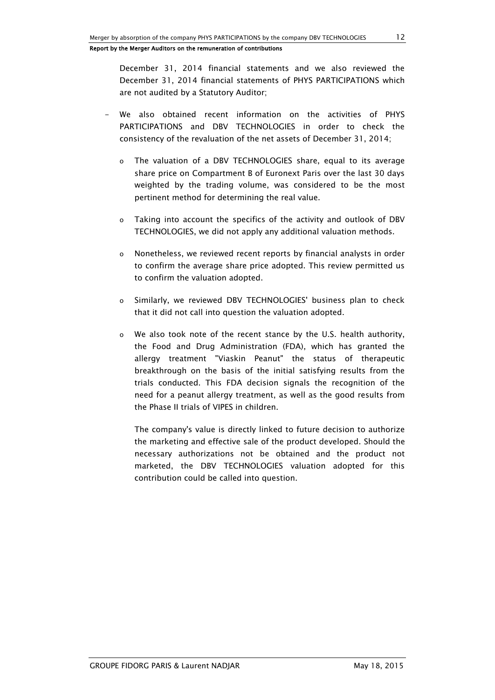December 31, 2014 financial statements and we also reviewed the December 31, 2014 financial statements of PHYS PARTICIPATIONS which are not audited by a Statutory Auditor;

- We also obtained recent information on the activities of PHYS PARTICIPATIONS and DBV TECHNOLOGIES in order to check the consistency of the revaluation of the net assets of December 31, 2014;
	- o The valuation of a DBV TECHNOLOGIES share, equal to its average share price on Compartment B of Euronext Paris over the last 30 days weighted by the trading volume, was considered to be the most pertinent method for determining the real value.
	- o Taking into account the specifics of the activity and outlook of DBV TECHNOLOGIES, we did not apply any additional valuation methods.
	- o Nonetheless, we reviewed recent reports by financial analysts in order to confirm the average share price adopted. This review permitted us to confirm the valuation adopted.
	- o Similarly, we reviewed DBV TECHNOLOGIES' business plan to check that it did not call into question the valuation adopted.
	- o We also took note of the recent stance by the U.S. health authority, the Food and Drug Administration (FDA), which has granted the allergy treatment "Viaskin Peanut" the status of therapeutic breakthrough on the basis of the initial satisfying results from the trials conducted. This FDA decision signals the recognition of the need for a peanut allergy treatment, as well as the good results from the Phase II trials of VIPES in children.

The company's value is directly linked to future decision to authorize the marketing and effective sale of the product developed. Should the necessary authorizations not be obtained and the product not marketed, the DBV TECHNOLOGIES valuation adopted for this contribution could be called into question.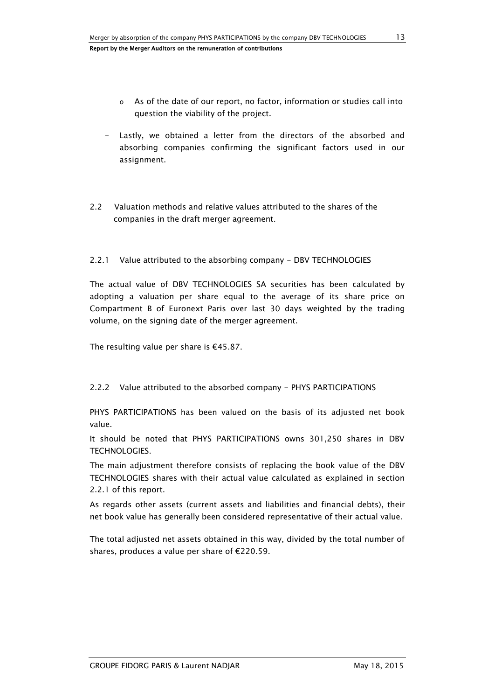- o As of the date of our report, no factor, information or studies call into question the viability of the project.
- Lastly, we obtained a letter from the directors of the absorbed and absorbing companies confirming the significant factors used in our assignment.
- 2.2 Valuation methods and relative values attributed to the shares of the companies in the draft merger agreement.

## 2.2.1 Value attributed to the absorbing company - DBV TECHNOLOGIES

The actual value of DBV TECHNOLOGIES SA securities has been calculated by adopting a valuation per share equal to the average of its share price on Compartment B of Euronext Paris over last 30 days weighted by the trading volume, on the signing date of the merger agreement.

The resulting value per share is  $€45.87$ .

#### 2.2.2 Value attributed to the absorbed company - PHYS PARTICIPATIONS

PHYS PARTICIPATIONS has been valued on the basis of its adjusted net book value.

It should be noted that PHYS PARTICIPATIONS owns 301,250 shares in DBV TECHNOLOGIES.

The main adjustment therefore consists of replacing the book value of the DBV TECHNOLOGIES shares with their actual value calculated as explained in section 2.2.1 of this report.

As regards other assets (current assets and liabilities and financial debts), their net book value has generally been considered representative of their actual value.

The total adjusted net assets obtained in this way, divided by the total number of shares, produces a value per share of €220.59.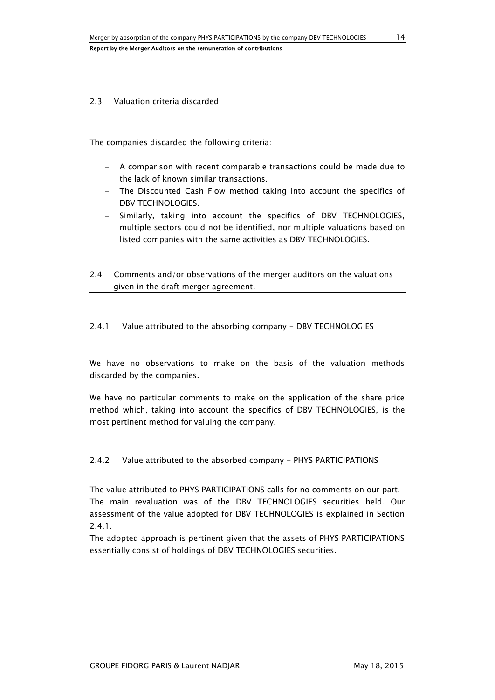#### 2.3 Valuation criteria discarded

The companies discarded the following criteria:

- A comparison with recent comparable transactions could be made due to the lack of known similar transactions.
- The Discounted Cash Flow method taking into account the specifics of DBV TECHNOLOGIES.
- Similarly, taking into account the specifics of DBV TECHNOLOGIES, multiple sectors could not be identified, nor multiple valuations based on listed companies with the same activities as DBV TECHNOLOGIES.
- 2.4 Comments and/or observations of the merger auditors on the valuations given in the draft merger agreement.

2.4.1 Value attributed to the absorbing company - DBV TECHNOLOGIES

We have no observations to make on the basis of the valuation methods discarded by the companies.

We have no particular comments to make on the application of the share price method which, taking into account the specifics of DBV TECHNOLOGIES, is the most pertinent method for valuing the company.

2.4.2 Value attributed to the absorbed company - PHYS PARTICIPATIONS

The value attributed to PHYS PARTICIPATIONS calls for no comments on our part. The main revaluation was of the DBV TECHNOLOGIES securities held. Our assessment of the value adopted for DBV TECHNOLOGIES is explained in Section 2.4.1.

The adopted approach is pertinent given that the assets of PHYS PARTICIPATIONS essentially consist of holdings of DBV TECHNOLOGIES securities.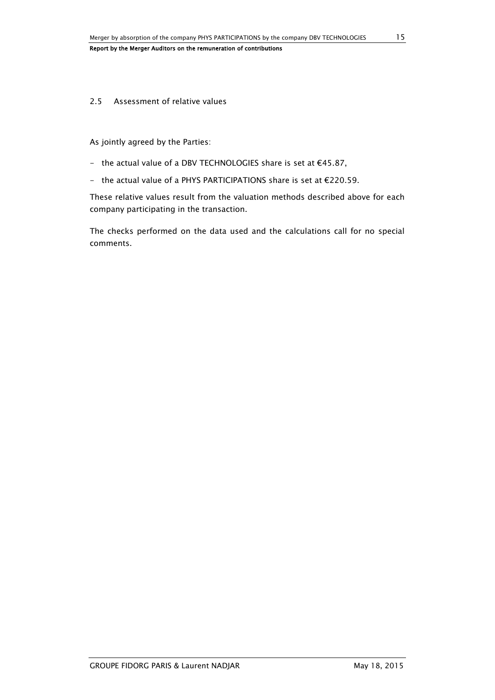#### 2.5 Assessment of relative values

As jointly agreed by the Parties:

- the actual value of a DBV TECHNOLOGIES share is set at €45.87,
- the actual value of a PHYS PARTICIPATIONS share is set at €220.59.

These relative values result from the valuation methods described above for each company participating in the transaction.

The checks performed on the data used and the calculations call for no special comments.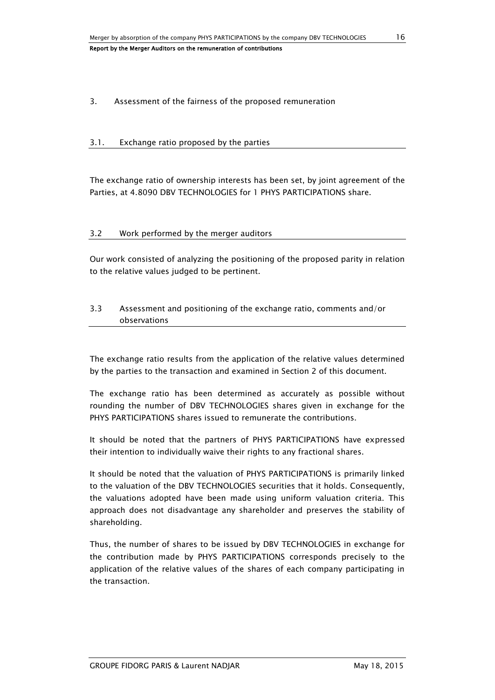## 3. Assessment of the fairness of the proposed remuneration

#### 3.1. Exchange ratio proposed by the parties

The exchange ratio of ownership interests has been set, by joint agreement of the Parties, at 4.8090 DBV TECHNOLOGIES for 1 PHYS PARTICIPATIONS share.

#### 3.2 Work performed by the merger auditors

Our work consisted of analyzing the positioning of the proposed parity in relation to the relative values judged to be pertinent.

# 3.3 Assessment and positioning of the exchange ratio, comments and/or observations

The exchange ratio results from the application of the relative values determined by the parties to the transaction and examined in Section 2 of this document.

The exchange ratio has been determined as accurately as possible without rounding the number of DBV TECHNOLOGIES shares given in exchange for the PHYS PARTICIPATIONS shares issued to remunerate the contributions.

It should be noted that the partners of PHYS PARTICIPATIONS have expressed their intention to individually waive their rights to any fractional shares.

It should be noted that the valuation of PHYS PARTICIPATIONS is primarily linked to the valuation of the DBV TECHNOLOGIES securities that it holds. Consequently, the valuations adopted have been made using uniform valuation criteria. This approach does not disadvantage any shareholder and preserves the stability of shareholding.

Thus, the number of shares to be issued by DBV TECHNOLOGIES in exchange for the contribution made by PHYS PARTICIPATIONS corresponds precisely to the application of the relative values of the shares of each company participating in the transaction.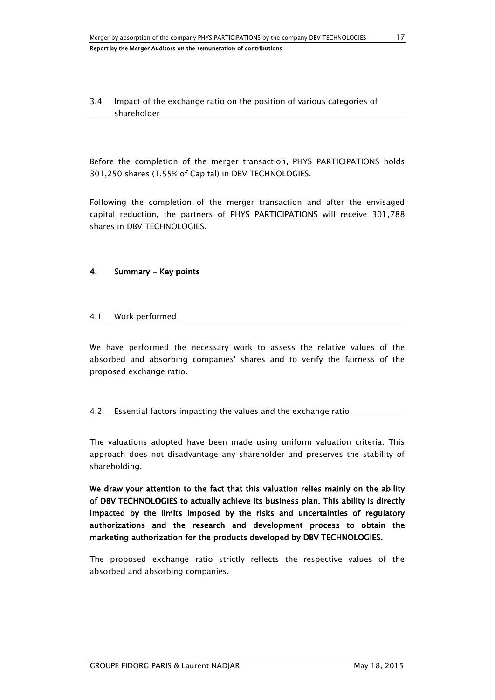3.4 Impact of the exchange ratio on the position of various categories of shareholder

Before the completion of the merger transaction, PHYS PARTICIPATIONS holds 301,250 shares (1.55% of Capital) in DBV TECHNOLOGIES.

Following the completion of the merger transaction and after the envisaged capital reduction, the partners of PHYS PARTICIPATIONS will receive 301,788 shares in DBV TECHNOLOGIES.

# 4. Summary - Key points

## 4.1 Work performed

We have performed the necessary work to assess the relative values of the absorbed and absorbing companies' shares and to verify the fairness of the proposed exchange ratio.

#### 4.2 Essential factors impacting the values and the exchange ratio

The valuations adopted have been made using uniform valuation criteria. This approach does not disadvantage any shareholder and preserves the stability of shareholding.

We draw your attention to the fact that this valuation relies mainly on the ability of DBV TECHNOLOGIES to actually achieve its business plan. This ability is directly impacted by the limits imposed by the risks and uncertainties of regulatory authorizations and the research and development process to obtain the marketing authorization for the products developed by DBV TECHNOLOGIES.

The proposed exchange ratio strictly reflects the respective values of the absorbed and absorbing companies.